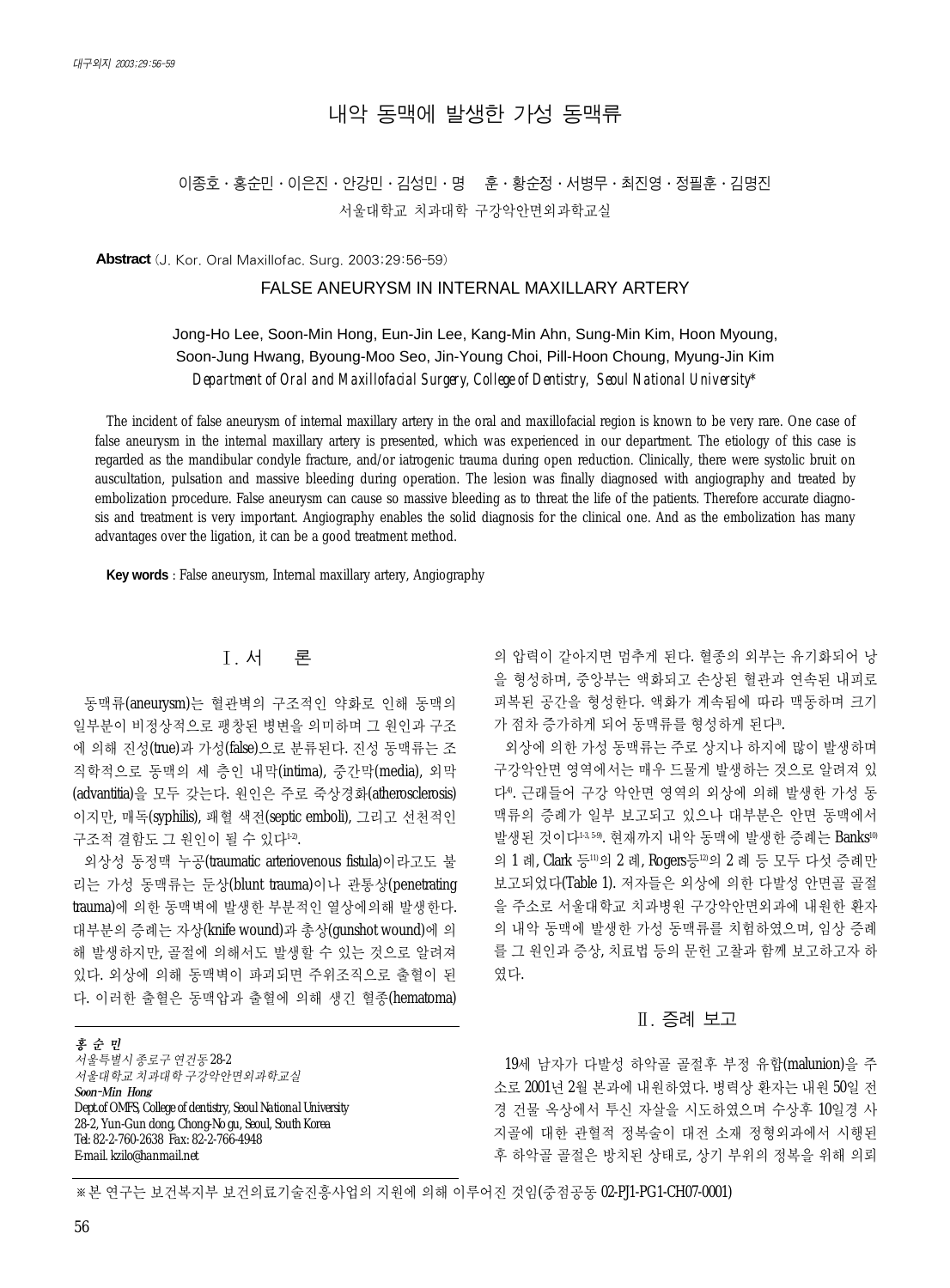# 내악 동맥에 발생한 가성 동맥류

# 이종호∙홍순민∙이은진∙안강민∙김성민∙명 훈∙황순정∙서병무∙최진영∙정필훈∙김명진 서울대학교 치과대학 구강악안면외과학교실

**Abstract** (J. Kor. Oral Maxillofac. Surg. 2003;29:56-59)

### FALSE ANEURYSM IN INTERNAL MAXILLARY ARTERY

## Jong-Ho Lee, Soon-Min Hong, Eun-Jin Lee, Kang-Min Ahn, Sung-Min Kim, Hoon Myoung, Soon-Jung Hwang, Byoung-Moo Seo, Jin-Young Choi, Pill-Hoon Choung, Myung-Jin Kim *Department of Oral and Maxillofacial Surgery, College of Dentistry, Seoul National University\**

The incident of false aneurysm of internal maxillary artery in the oral and maxillofacial region is known to be very rare. One case of false aneurysm in the internal maxillary artery is presented, which was experienced in our department. The etiology of this case is regarded as the mandibular condyle fracture, and/or iatrogenic trauma during open reduction. Clinically, there were systolic bruit on auscultation, pulsation and massive bleeding during operation. The lesion was finally diagnosed with angiography and treated by embolization procedure. False aneurysm can cause so massive bleeding as to threat the life of the patients. Therefore accurate diagnosis and treatment is very important. Angiography enables the solid diagnosis for the clinical one. And as the embolization has many advantages over the ligation, it can be a good treatment method.

**Key words** : False aneurysm, Internal maxillary artery, Angiography

## Ⅰ. 서 론

동맥류(aneurysm)는 혈관벽의 구조적인 약화로 인해 동맥의 일부분이 비정상적으로 팽창된 병변을 의미하며 그 원인과 구조 에 의해 진성(true)과 가성(false)으로 분류된다. 진성 동맥류는 조 직학적으로 동맥의 세 층인 내막(intima), 중간막(media), 외막 (advantitia)을 모두 갖는다. 원인은 주로 죽상경화(atherosclerosis) 이지만, 매독(syphilis), 패혈 색전(septic emboli), 그리고 선천적인 구조적 결함도 그 원인이 될 수 있다<sup>12</sup>.

외상성 동정맥 누공(traumatic arteriovenous fistula)이라고도 불 리는 가성 동맥류는 둔상(blunt trauma)이나 관통상(penetrating trauma)에 의한 동맥벽에 발생한 부분적인 열상에의해 발생한다. 대부분의 증례는 자상(knife wound)과 총상(gunshot wound)에 의 해 발생하지만, 골절에 의해서도 발생할 수 있는 것으로 알려져 있다. 외상에 의해 동맥벽이 파괴되면 주위조직으로 출혈이 된 다. 이러한 출혈은 동맥압과 출혈에 의해 생긴 혈종(hematoma)

홍순민 서울특별시종로구연건동 *28-2*  서울대학교치과대학구강악안면외과학교실 Soon-Min Hong *Dept.of OMFS, College of dentistry, Seoul National University 28-2, Yun-Gun dong, Chong-No gu, Seoul, South Korea Tel: 82-2-760-2638 Fax: 82-2-766-4948 E-mail. kzilo@hanmail.net*

의 압력이 같아지면 멈추게 된다. 혈종의 외부는 유기화되어 낭 을 형성하며, 중앙부는 액화되고 손상된 혈관과 연속된 내피로 피복된 공간을 형성한다. 액화가 계속됨에 따라 맥동하며 크기 가 점차 증가하게 되어 동맥류를 형성하게 된다".

외상에 의한 가성 동맥류는 주로 상지나 하지에 많이 발생하며 구강악안면 영역에서는 매우 드물게 발생하는 것으로 알려져 있 다4). 근래들어 구강 악안면 영역의 외상에 의해 발생한 가성 동 맥류의 증례가 일부 보고되고 있으나 대부분은 안면 동맥에서 발생된 것이다13,59, 현재까지 내악 동맥에 발생한 증례는 Banks10 의 1 례, Clark 등11)의 2 례, Rogers등<sup>12)</sup>의 2 례 등 모두 다섯 증례만 보고되었다(Table 1). 저자들은 외상에 의한 다발성 안면골 골절 을 주소로 서울대학교 치과병원 구강악안면외과에 내원한 환자 의 내악 동맥에 발생한 가성 동맥류를 치험하였으며, 임상 증례 를 그 원인과 증상, 치료법 등의 문헌 고찰과 함께 보고하고자 하 였다.

#### Ⅱ. 증례 보고

19세 남자가 다발성 하악골 골절후 부정 유합(malunion)을 주 소로 2001년 2월 본과에 내원하였다. 병력상 환자는 내원 50일 전 경 건물 옥상에서 투신 자살을 시도하였으며 수상후 10일경 사 지골에 대한 관혈적 정복술이 대전 소재 정형외과에서 시행된 후 하악골 골절은 방치된 상태로, 상기 부위의 정복을 위해 의뢰

※본 연구는 보건복지부 보건의료기술진흥사업의 지원에 의해 이루어진 것임(중점공동 02-PJ1-PG1-CH07-0001)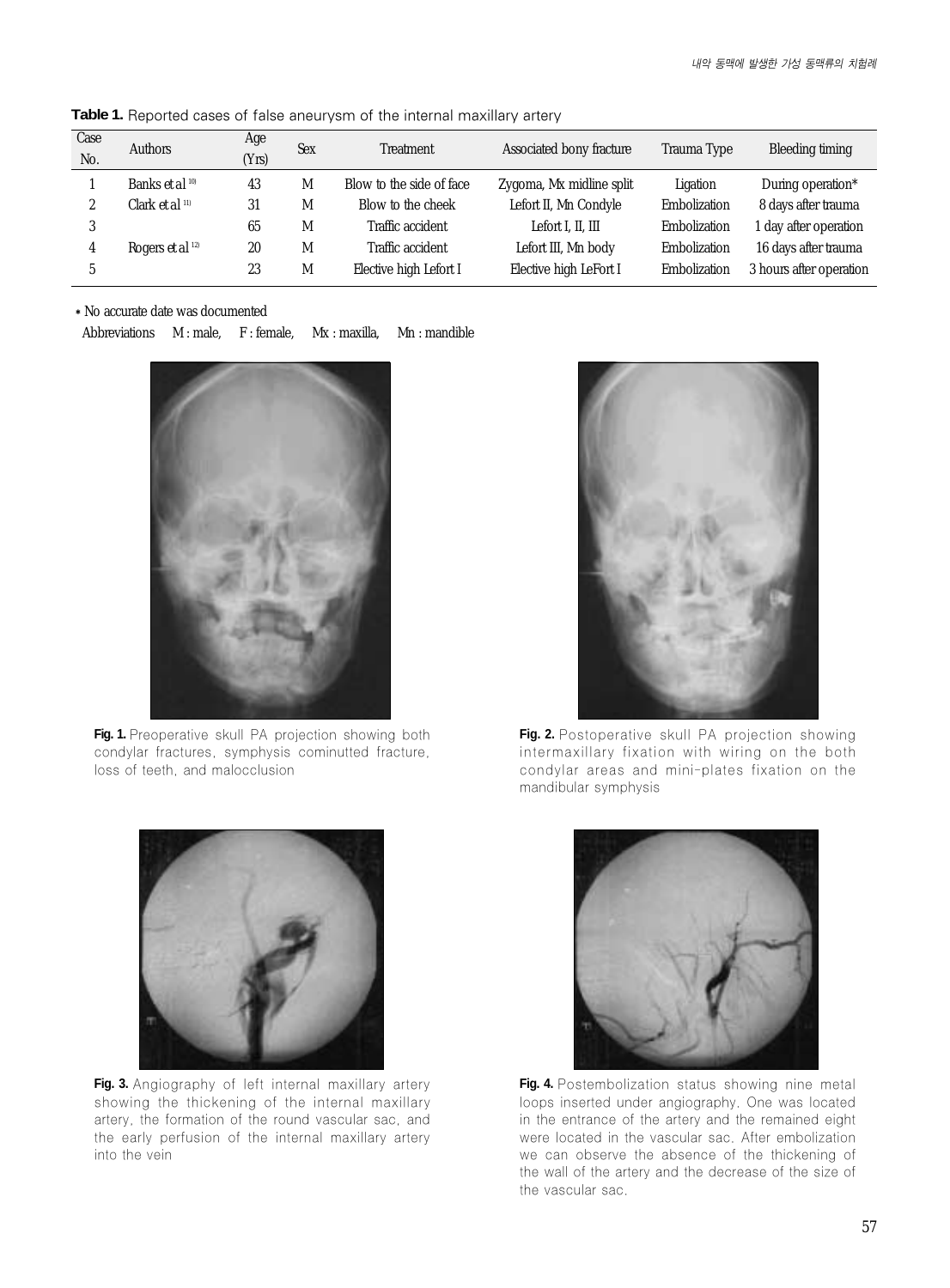| Case<br>No. | Authors                            | Age<br>(Yrs) | <b>Sex</b> | Treatment                | Associated bony fracture | Trauma Type  | Bleeding timing         |
|-------------|------------------------------------|--------------|------------|--------------------------|--------------------------|--------------|-------------------------|
|             | Banks <i>et al</i> <sup>10</sup>   | 43           | M          | Blow to the side of face | Zygoma, Mx midline split | Ligation     | During operation*       |
|             | Clark <i>et al</i> <sup>11)</sup>  | 31           | M          | Blow to the cheek        | Lefort II, Mn Condyle    | Embolization | 8 days after trauma     |
|             |                                    | 65           | M          | Traffic accident         | Lefort I. II. III        | Embolization | 1 day after operation   |
|             | Rogers <i>et al</i> <sup>12)</sup> | 20           | M          | Traffic accident         | Lefort III, Mn body      | Embolization | 16 days after trauma    |
|             |                                    | 23           | M          | Elective high Lefort I   | Elective high LeFort I   | Embolization | 3 hours after operation |

Table 1. Reported cases of false aneurysm of the internal maxillary artery

�No accurate date was documented

Abbreviations M : male, F : female, Mx : maxilla, Mn : mandible



**Fig. 1.** Preoperative skull PA projection showing both condylar fractures, symphysis cominutted fracture, loss of teeth, and malocclusion



Fig. 2. Postoperative skull PA projection showing intermaxillary fixation with wiring on the both condylar areas and mini-plates fixation on the mandibular symphysis



**Fig. 3.** Angiography of left internal maxillary artery showing the thickening of the internal maxillary artery, the formation of the round vascular sac, and the early perfusion of the internal maxillary artery into the vein



Fig. 4. Postembolization status showing nine metal loops inserted under angiography. One was located in the entrance of the artery and the remained eight were located in the vascular sac. After embolization we can observe the absence of the thickening of the wall of the artery and the decrease of the size of the vascular sac.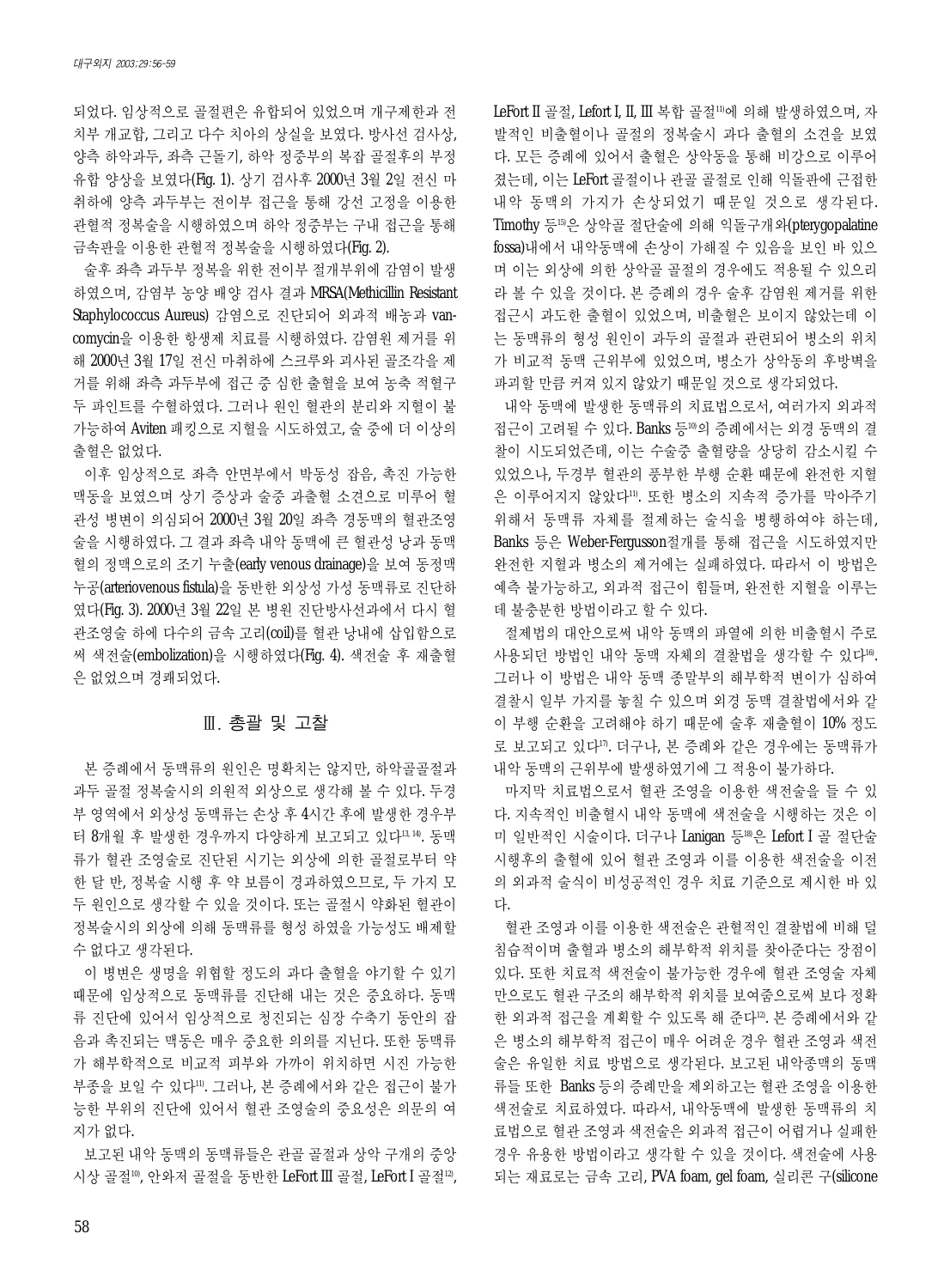되었다. 임상적으로 골절편은 유합되어 있었으며 개구제한과 전 치부 개교합, 그리고 다수 치아의 상실을 보였다. 방사선 검사상, 양측 하악과두, 좌측 근돌기, 하악 정중부의 복잡 골절후의 부정 유합 양상을 보였다(Fig. 1). 상기 검사후 2000년 3월 2일 전신 마 취하에 양측 과두부는 전이부 접근을 통해 강선 고정을 이용한 관혈적 정복술을 시행하였으며 하악 정중부는 구내 접근을 통해 금속판을 이용한 관혈적 정복술을 시행하였다(Fig. 2).

술후 좌측 과두부 정복을 위한 전이부 절개부위에 감염이 발생 하였으며, 감염부 농양 배양 검사 결과 MRSA(Methicillin Resistant Staphylococcus Aureus) 감염으로 진단되어 외과적 배농과 vancomycin을 이용한 항생제 치료를 시행하였다. 감염원 제거를 위 해 2000년 3월 17일 전신 마취하에 스크루와 괴사된 골조각을 제 거를 위해 좌측 과두부에 접근 중 심한 출혈을 보여 농축 적혈구 두 파인트를 수혈하였다. 그러나 원인 혈관의 분리와 지혈이 불 가능하여 Aviten 패킹으로 지혈을 시도하였고, 술 중에 더 이상의 출혈은 없었다.

이후 임상적으로 좌측 안면부에서 박동성 잡음, 촉진 가능한 맥동을 보였으며 상기 증상과 술중 과출혈 소견으로 미루어 혈 관성 병변이 의심되어 2000년 3월 20일 좌측 경동맥의 혈관조영 술을 시행하였다. 그 결과 좌측 내악 동맥에 큰 혈관성 낭과 동맥 혈의 정맥으로의 조기 누출(early venous drainage)을 보여 동정맥 누공(arteriovenous fistula)을 동반한 외상성 가성 동맥류로 진단하 였다(Fig. 3). 2000년 3월 22일 본 병원 진단방사선과에서 다시 혈 관조영술 하에 다수의 금속 고리(coil)를 혈관 낭내에 삽입함으로 써 색전술(embolization)을 시행하였다(Fig. 4). 색전술 후 재출혈 은 없었으며 경쾌되었다.

### Ⅲ. 총괄 및 고찰

본 증례에서 동맥류의 원인은 명확치는 않지만, 하악골골절과 과두 골절 정복술시의 의원적 외상으로 생각해 볼 수 있다. 두경 부 영역에서 외상성 동맥류는 손상 후 4시간 후에 발생한 경우부 터 8개월 후 발생한 경우까지 다양하게 보고되고 있다13, 14). 동맥 류가 혈관 조영술로 진단된 시기는 외상에 의한 골절로부터 약 한달반, 정복술 시행 후 약 보름이 경과하였으므로, 두 가지 모 두 원인으로 생각할 수 있을 것이다. 또는 골절시 약화된 혈관이 정복술시의 외상에 의해 동맥류를 형성 하였을 가능성도 배제할 수 없다고 생각된다.

이 병변은 생명을 위협할 정도의 과다 출혈을 야기할 수 있기 때문에 임상적으로 동맥류를 진단해 내는 것은 중요하다. 동맥 류 진단에 있어서 임상적으로 청진되는 심장 수축기 동안의 잡 음과 촉진되는 맥동은 매우 중요한 의의를 지닌다. 또한 동맥류 가 해부학적으로 비교적 피부와 가까이 위치하면 시진 가능한 부종을 보일 수 있다11). 그러나, 본 증례에서와 같은 접근이 불가 능한 부위의 진단에 있어서 혈관 조영술의 중요성은 의문의 여 지가 없다.

보고된 내악 동맥의 동맥류들은 관골 골절과 상악 구개의 중앙 시상 골절10), 안와저 골절을 동반한 LeFort III 골절, LeFort I 골절12), LeFort II 골절, Lefort I, II, III 복합 골절11)에 의해 발생하였으며, 자 발적인 비출혈이나 골절의 정복술시 과다 출혈의 소견을 보였 다. 모든 증례에 있어서 출혈은 상악동을 통해 비강으로 이루어 졌는데, 이는 LeFort 골절이나 관골 골절로 인해 익돌판에 근접한 내악 동맥의 가지가 손상되었기 때문일 것으로 생각된다. Timothy 등15)은 상악골 절단술에 의해 익돌구개와(pterygopalatine fossa)내에서 내악동맥에 손상이 가해질 수 있음을 보인 바 있으 며 이는 외상에 의한 상악골 골절의 경우에도 적용될 수 있으리 라 볼 수 있을 것이다. 본 증례의 경우 술후 감염원 제거를 위한 접근시 과도한 출혈이 있었으며, 비출혈은 보이지 않았는데 이 는 동맥류의 형성 원인이 과두의 골절과 관련되어 병소의 위치 가 비교적 동맥 근위부에 있었으며, 병소가 상악동의 후방벽을 파괴할 만큼 커져 있지 않았기 때문일 것으로 생각되었다.

내악 동맥에 발생한 동맥류의 치료법으로서, 여러가지 외과적 접근이 고려될 수 있다. Banks 등10)의 증례에서는 외경 동맥의 결 찰이 시도되었즌데, 이는 수술중 출혈량을 상당히 감소시킬 수 있었으나, 두경부 혈관의 풍부한 부행 순환 때문에 완전한 지혈 은 이루어지지 않았다"'. 또한 병소의 지속적 증가를 막아주기 위해서 동맥류 자체를 절제하는 술식을 병행하여야 하는데, Banks 등은 Weber-Fergusson절개를 통해 접근을 시도하였지만 완전한 지혈과 병소의 제거에는 실패하였다. 따라서 이 방법은 예측 불가능하고, 외과적 접근이 힘들며, 완전한 지혈을 이루는 데 불충분한 방법이라고 할 수 있다.

절제법의 대안으로써 내악 동맥의 파열에 의한 비출혈시 주로 사용되던 방법인 내악 동맥 자체의 결찰법을 생각할 수 있다<sup>16</sup>. 그러나 이 방법은 내악 동맥 종말부의 해부학적 변이가 심하여 결찰시 일부 가지를 놓칠 수 있으며 외경 동맥 결찰법에서와 같 이 부행 순환을 고려해야 하기 때문에 술후 재출혈이 10% 정도 로 보고되고 있다17). 더구나, 본 증례와 같은 경우에는 동맥류가 내악 동맥의 근위부에 발생하였기에 그 적용이 불가하다.

마지막 치료법으로서 혈관 조영을 이용한 색전술을 들 수 있 다. 지속적인 비출혈시 내악 동맥에 색전술을 시행하는 것은 이 미 일반적인 시술이다. 더구나 Lanigan 등18)은 Lefort I 골 절단술 시행후의 출혈에 있어 혈관 조영과 이를 이용한 색전술을 이전 의 외과적 술식이 비성공적인 경우 치료 기준으로 제시한 바 있 다.

혈관 조영과 이를 이용한 색전술은 관혈적인 결찰법에 비해 덜 침습적이며 출혈과 병소의 해부학적 위치를 찾아준다는 장점이 있다. 또한 치료적 색전술이 불가능한 경우에 혈관 조영술 자체 만으로도 혈관 구조의 해부학적 위치를 보여줌으로써 보다 정확 한 외과적 접근을 계획할 수 있도록 해 준다"2. 본 증례에서와 같 은 병소의 해부학적 접근이 매우 어려운 경우 혈관 조영과 색전 술은 유일한 치료 방법으로 생각된다. 보고된 내악종맥의 동맥 류들 또한 Banks 등의 증례만을 제외하고는 혈관 조영을 이용한 색전술로 치료하였다. 따라서, 내악동맥에 발생한 동맥류의 치 료법으로 혈관 조영과 색전술은 외과적 접근이 어렵거나 실패한 경우 유용한 방법이라고 생각할 수 있을 것이다. 색전술에 사용 되는 재료로는 금속 고리, PVA foam, gel foam, 실리콘 구(silicone